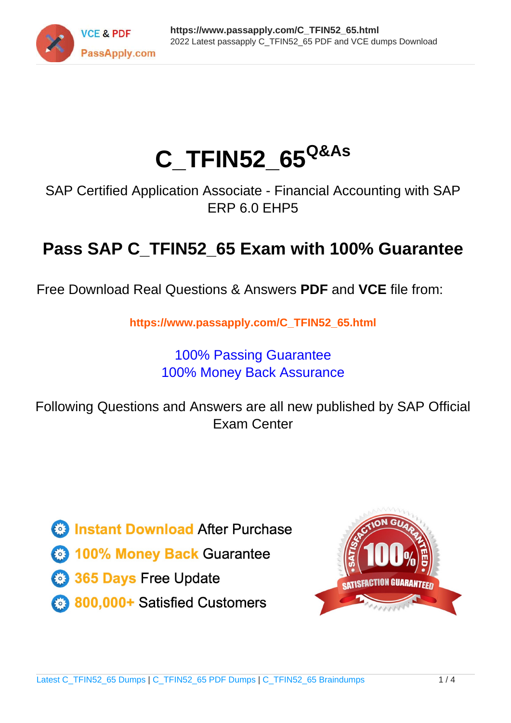

# **C\_TFIN52\_65Q&As**

SAP Certified Application Associate - Financial Accounting with SAP ERP 6.0 EHP5

## **Pass SAP C\_TFIN52\_65 Exam with 100% Guarantee**

Free Download Real Questions & Answers **PDF** and **VCE** file from:

**https://www.passapply.com/C\_TFIN52\_65.html**

### 100% Passing Guarantee 100% Money Back Assurance

Following Questions and Answers are all new published by SAP Official Exam Center

**Colonization** Download After Purchase

- **@ 100% Money Back Guarantee**
- **63 365 Days Free Update**
- 800,000+ Satisfied Customers

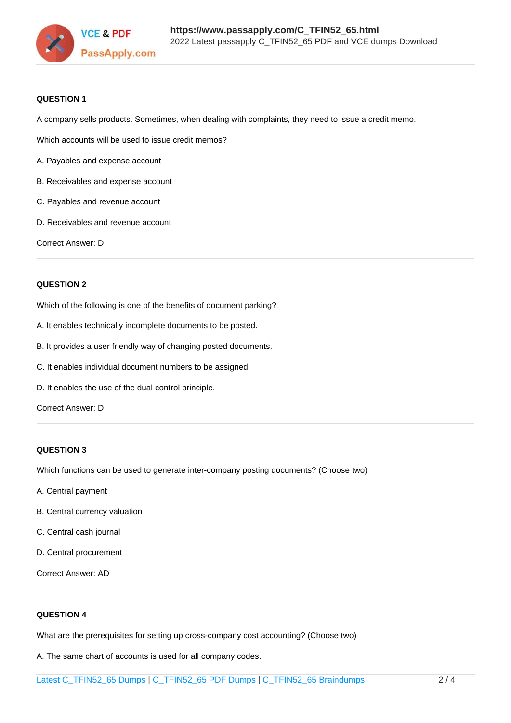

#### **QUESTION 1**

A company sells products. Sometimes, when dealing with complaints, they need to issue a credit memo.

Which accounts will be used to issue credit memos?

- A. Payables and expense account
- B. Receivables and expense account
- C. Payables and revenue account
- D. Receivables and revenue account

Correct Answer: D

#### **QUESTION 2**

Which of the following is one of the benefits of document parking?

- A. It enables technically incomplete documents to be posted.
- B. It provides a user friendly way of changing posted documents.
- C. It enables individual document numbers to be assigned.
- D. It enables the use of the dual control principle.

Correct Answer: D

#### **QUESTION 3**

Which functions can be used to generate inter-company posting documents? (Choose two)

- A. Central payment
- B. Central currency valuation
- C. Central cash journal
- D. Central procurement

Correct Answer: AD

#### **QUESTION 4**

What are the prerequisites for setting up cross-company cost accounting? (Choose two)

A. The same chart of accounts is used for all company codes.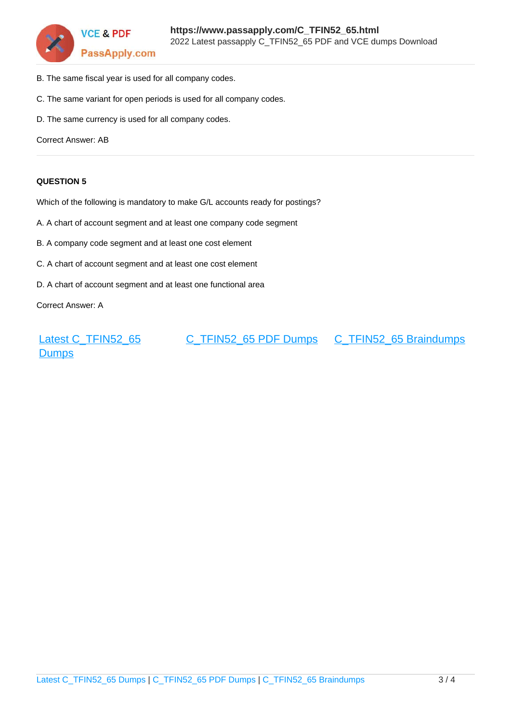

- B. The same fiscal year is used for all company codes.
- C. The same variant for open periods is used for all company codes.
- D. The same currency is used for all company codes.

Correct Answer: AB

#### **QUESTION 5**

Which of the following is mandatory to make G/L accounts ready for postings?

- A. A chart of account segment and at least one company code segment
- B. A company code segment and at least one cost element
- C. A chart of account segment and at least one cost element
- D. A chart of account segment and at least one functional area

Correct Answer: A

[Latest C\\_TFIN52\\_65](https://www.passapply.com/C_TFIN52_65.html) **[Dumps](https://www.passapply.com/C_TFIN52_65.html)** [C\\_TFIN52\\_65 PDF Dumps](https://www.passapply.com/C_TFIN52_65.html) [C\\_TFIN52\\_65 Braindumps](https://www.passapply.com/C_TFIN52_65.html)